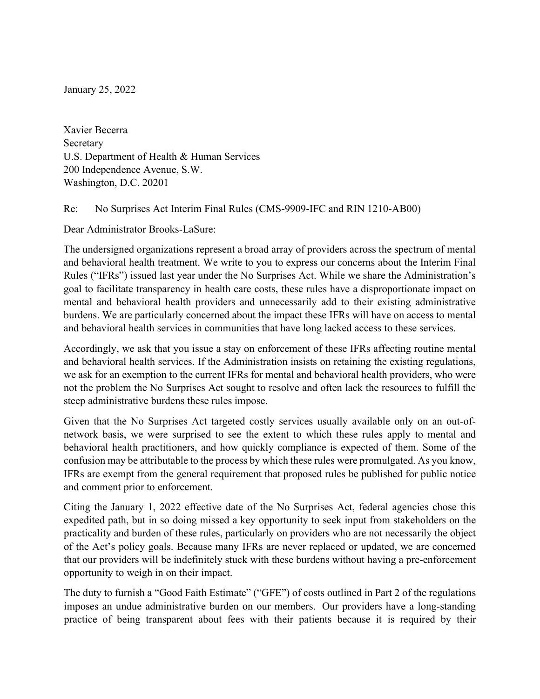January 25, 2022

 Xavier Becerra U.S. Department of Health & Human Services 200 Independence Avenue, S.W. Washington, D.C. 20201 Secretary

Re: No Surprises Act Interim Final Rules (CMS-9909-IFC and RIN 1210-AB00)

Dear Administrator Brooks-LaSure:

 The undersigned organizations represent a broad array of providers across the spectrum of mental and behavioral health treatment. We write to you to express our concerns about the Interim Final Rules ("IFRs") issued last year under the No Surprises Act. While we share the Administration's goal to facilitate transparency in health care costs, these rules have a disproportionate impact on mental and behavioral health providers and unnecessarily add to their existing administrative burdens. We are particularly concerned about the impact these IFRs will have on access to mental and behavioral health services in communities that have long lacked access to these services.

 Accordingly, we ask that you issue a stay on enforcement of these IFRs affecting routine mental and behavioral health services. If the Administration insists on retaining the existing regulations, we ask for an exemption to the current IFRs for mental and behavioral health providers, who were not the problem the No Surprises Act sought to resolve and often lack the resources to fulfill the steep administrative burdens these rules impose.

 Given that the No Surprises Act targeted costly services usually available only on an out-of- network basis, we were surprised to see the extent to which these rules apply to mental and behavioral health practitioners, and how quickly compliance is expected of them. Some of the confusion may be attributable to the process by which these rules were promulgated. As you know, IFRs are exempt from the general requirement that proposed rules be published for public notice and comment prior to enforcement.

 Citing the January 1, 2022 effective date of the No Surprises Act, federal agencies chose this expedited path, but in so doing missed a key opportunity to seek input from stakeholders on the practicality and burden of these rules, particularly on providers who are not necessarily the object of the Act's policy goals. Because many IFRs are never replaced or updated, we are concerned that our providers will be indefinitely stuck with these burdens without having a pre-enforcement opportunity to weigh in on their impact.

 The duty to furnish a "Good Faith Estimate" ("GFE") of costs outlined in Part 2 of the regulations imposes an undue administrative burden on our members. Our providers have a long-standing practice of being transparent about fees with their patients because it is required by their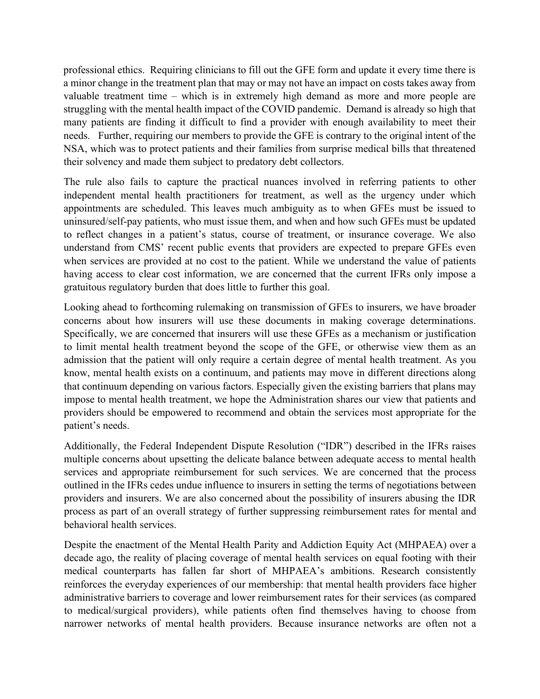professional ethics. Requiring clinicians to fill out the GFE form and update it every time there is a minor change in the treatment plan that may or may not have an impact on costs takes away from valuable treatment time – which is in extremely high demand as more and more people are struggling with the mental health impact of the COVID pandemic. Demand is already so high that many patients are finding it difficult to find a provider with enough availability to meet their needs. Further, requiring our members to provide the GFE is contrary to the original intent of the NSA, which was to protect patients and their families from surprise medical bills that threatened their solvency and made them subject to predatory debt collectors.

 The rule also fails to capture the practical nuances involved in referring patients to other independent mental health practitioners for treatment, as well as the urgency under which appointments are scheduled. This leaves much ambiguity as to when GFEs must be issued to uninsured/self-pay patients, who must issue them, and when and how such GFEs must be updated to reflect changes in a patient's status, course of treatment, or insurance coverage. We also understand from CMS' recent public events that providers are expected to prepare GFEs even when services are provided at no cost to the patient. While we understand the value of patients having access to clear cost information, we are concerned that the current IFRs only impose a gratuitous regulatory burden that does little to further this goal.

 Looking ahead to forthcoming rulemaking on transmission of GFEs to insurers, we have broader concerns about how insurers will use these documents in making coverage determinations. Specifically, we are concerned that insurers will use these GFEs as a mechanism or justification to limit mental health treatment beyond the scope of the GFE, or otherwise view them as an admission that the patient will only require a certain degree of mental health treatment. As you know, mental health exists on a continuum, and patients may move in different directions along that continuum depending on various factors. Especially given the existing barriers that plans may impose to mental health treatment, we hope the Administration shares our view that patients and providers should be empowered to recommend and obtain the services most appropriate for the patient's needs.

 Additionally, the Federal Independent Dispute Resolution ("IDR") described in the IFRs raises multiple concerns about upsetting the delicate balance between adequate access to mental health services and appropriate reimbursement for such services. We are concerned that the process outlined in the IFRs cedes undue influence to insurers in setting the terms of negotiations between providers and insurers. We are also concerned about the possibility of insurers abusing the IDR process as part of an overall strategy of further suppressing reimbursement rates for mental and behavioral health services.

 Despite the enactment of the Mental Health Parity and Addiction Equity Act (MHPAEA) over a decade ago, the reality of placing coverage of mental health services on equal footing with their medical counterparts has fallen far short of MHPAEA's ambitions. Research consistently reinforces the everyday experiences of our membership: that mental health providers face higher administrative barriers to coverage and lower reimbursement rates for their services (as compared to medical/surgical providers), while patients often find themselves having to choose from narrower networks of mental health providers. Because insurance networks are often not a